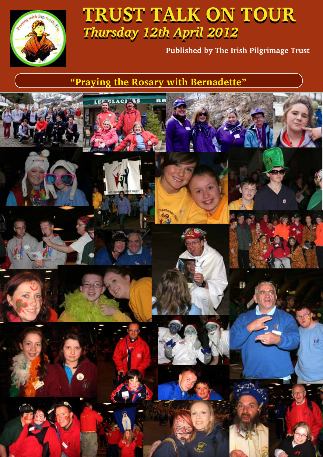

# **TRUST TALK ON TOUR TRUST TALK ON TOUR**  *Thursday 12th April 2012*

**Published by The Irish Pilgrimage Trust**

**"Praying the Rosary with Bernadette"**